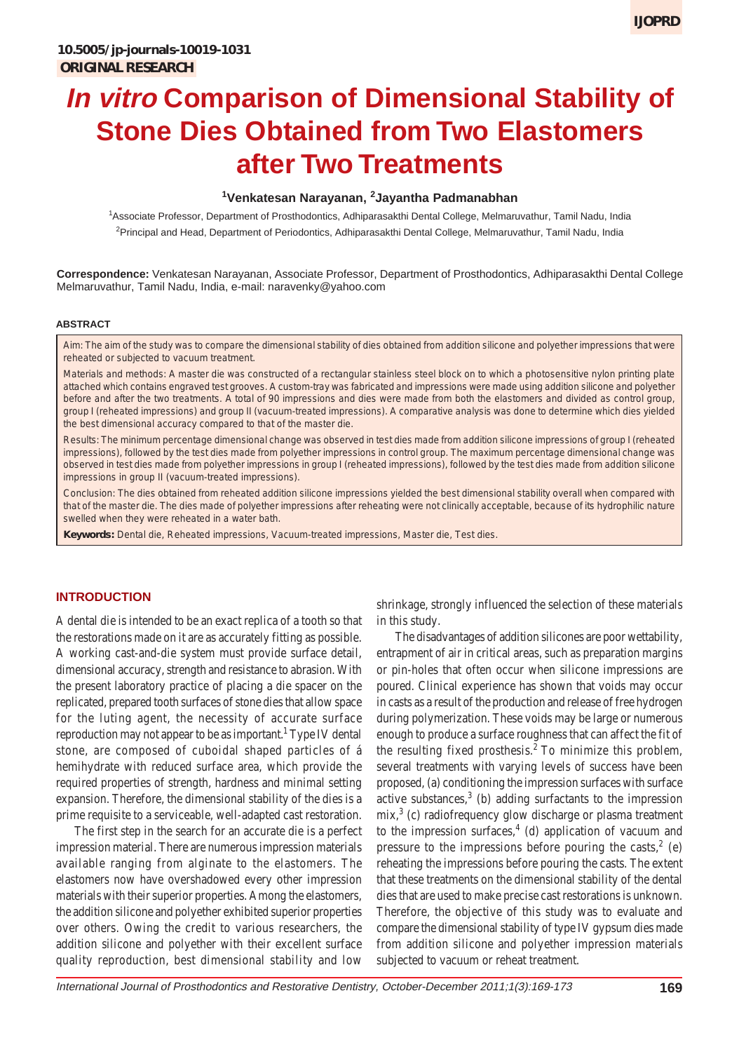# **In vitro Comparison of Dimensional Stability of Stone Dies Obtained from Two Elastomers after Two Treatments**

#### **1 Venkatesan Narayanan, <sup>2</sup> Jayantha Padmanabhan**

1 Associate Professor, Department of Prosthodontics, Adhiparasakthi Dental College, Melmaruvathur, Tamil Nadu, India <sup>2</sup>Principal and Head, Department of Periodontics, Adhiparasakthi Dental College, Melmaruvathur, Tamil Nadu, India

**Correspondence:** Venkatesan Narayanan, Associate Professor, Department of Prosthodontics, Adhiparasakthi Dental College Melmaruvathur, Tamil Nadu, India, e-mail: naravenky@yahoo.com

#### **ABSTRACT**

*Aim:* The aim of the study was to compare the dimensional stability of dies obtained from addition silicone and polyether impressions that were reheated or subjected to vacuum treatment.

*Materials and methods:* A master die was constructed of a rectangular stainless steel block on to which a photosensitive nylon printing plate attached which contains engraved test grooves. A custom-tray was fabricated and impressions were made using addition silicone and polyether before and after the two treatments. A total of 90 impressions and dies were made from both the elastomers and divided as control group, group I (reheated impressions) and group II (vacuum-treated impressions). A comparative analysis was done to determine which dies yielded the best dimensional accuracy compared to that of the master die.

*Results:* The minimum percentage dimensional change was observed in test dies made from addition silicone impressions of group I (reheated impressions), followed by the test dies made from polyether impressions in control group. The maximum percentage dimensional change was observed in test dies made from polyether impressions in group I (reheated impressions), followed by the test dies made from addition silicone impressions in group II (vacuum-treated impressions).

*Conclusion:* The dies obtained from reheated addition silicone impressions yielded the best dimensional stability overall when compared with that of the master die. The dies made of polyether impressions after reheating were not clinically acceptable, because of its hydrophilic nature swelled when they were reheated in a water bath.

**Keywords:** Dental die, Reheated impressions, Vacuum-treated impressions, Master die, Test dies.

#### **INTRODUCTION**

A dental die is intended to be an exact replica of a tooth so that the restorations made on it are as accurately fitting as possible. A working cast-and-die system must provide surface detail, dimensional accuracy, strength and resistance to abrasion. With the present laboratory practice of placing a die spacer on the replicated, prepared tooth surfaces of stone dies that allow space for the luting agent, the necessity of accurate surface reproduction may not appear to be as important.<sup>1</sup> Type IV dental stone, are composed of cuboidal shaped particles of á hemihydrate with reduced surface area, which provide the required properties of strength, hardness and minimal setting expansion. Therefore, the dimensional stability of the dies is a prime requisite to a serviceable, well-adapted cast restoration.

The first step in the search for an accurate die is a perfect impression material. There are numerous impression materials available ranging from alginate to the elastomers. The elastomers now have overshadowed every other impression materials with their superior properties. Among the elastomers, the addition silicone and polyether exhibited superior properties over others. Owing the credit to various researchers, the addition silicone and polyether with their excellent surface quality reproduction, best dimensional stability and low

shrinkage, strongly influenced the selection of these materials in this study.

The disadvantages of addition silicones are poor wettability, entrapment of air in critical areas, such as preparation margins or pin-holes that often occur when silicone impressions are poured. Clinical experience has shown that voids may occur in casts as a result of the production and release of free hydrogen during polymerization. These voids may be large or numerous enough to produce a surface roughness that can affect the fit of the resulting fixed prosthesis. $^{2}$  To minimize this problem, several treatments with varying levels of success have been proposed, (a) conditioning the impression surfaces with surface active substances, $3$  (b) adding surfactants to the impression  $mix$ <sup>3</sup> (c) radiofrequency glow discharge or plasma treatment to the impression surfaces, $4$  (d) application of vacuum and pressure to the impressions before pouring the casts,<sup>2</sup> (e) reheating the impressions before pouring the casts. The extent that these treatments on the dimensional stability of the dental dies that are used to make precise cast restorations is unknown. Therefore, the objective of this study was to evaluate and compare the dimensional stability of type IV gypsum dies made from addition silicone and polyether impression materials subjected to vacuum or reheat treatment.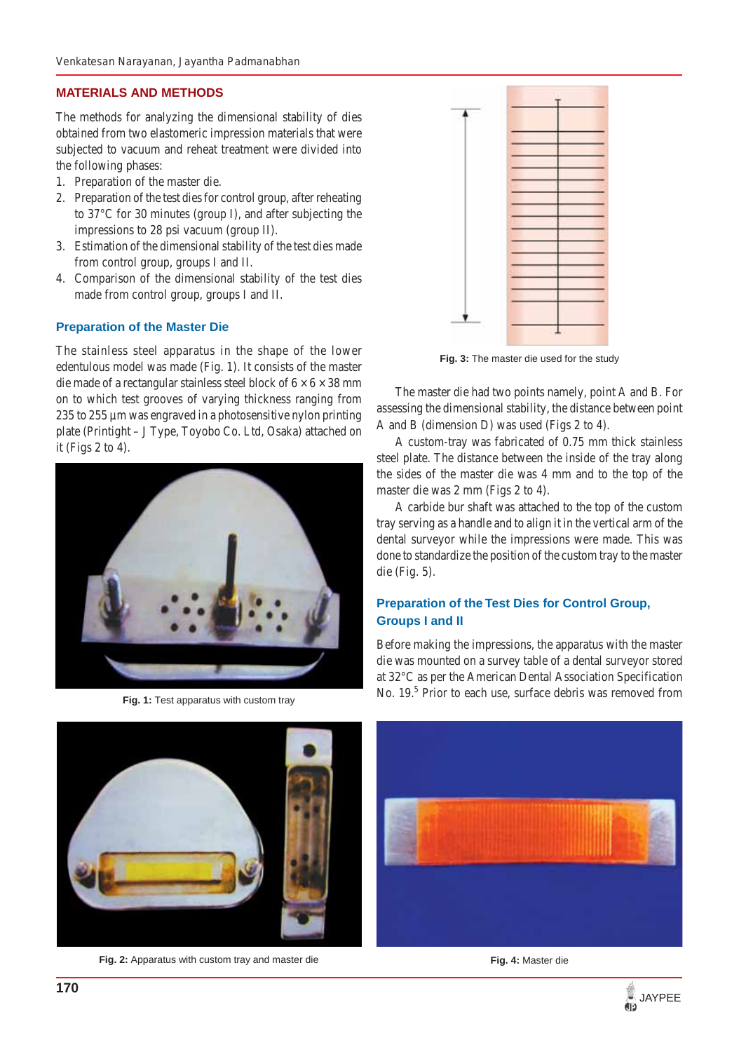## **MATERIALS AND METHODS**

The methods for analyzing the dimensional stability of dies obtained from two elastomeric impression materials that were subjected to vacuum and reheat treatment were divided into the following phases:

- 1. Preparation of the master die.
- 2. Preparation of the test dies for control group, after reheating to 37°C for 30 minutes (group I), and after subjecting the impressions to 28 psi vacuum (group II).
- 3. Estimation of the dimensional stability of the test dies made from control group, groups I and II.
- 4. Comparison of the dimensional stability of the test dies made from control group, groups I and II.

### **Preparation of the Master Die**

The stainless steel apparatus in the shape of the lower edentulous model was made (Fig. 1). It consists of the master die made of a rectangular stainless steel block of  $6 \times 6 \times 38$  mm on to which test grooves of varying thickness ranging from 235 to 255 µm was engraved in a photosensitive nylon printing plate (Printight – J Type, Toyobo Co. Ltd, Osaka) attached on it (Figs 2 to 4).



**Fig. 1:** Test apparatus with custom tray



**Fig. 2:** Apparatus with custom tray and master die **Fig. 2: Fig. 4:** Master die



**Fig. 3:** The master die used for the study

The master die had two points namely, point A and B. For assessing the dimensional stability, the distance between point A and B (dimension D) was used (Figs 2 to 4).

A custom-tray was fabricated of 0.75 mm thick stainless steel plate. The distance between the inside of the tray along the sides of the master die was 4 mm and to the top of the master die was 2 mm (Figs 2 to 4).

A carbide bur shaft was attached to the top of the custom tray serving as a handle and to align it in the vertical arm of the dental surveyor while the impressions were made. This was done to standardize the position of the custom tray to the master die (Fig. 5).

## **Preparation of the Test Dies for Control Group, Groups I and II**

Before making the impressions, the apparatus with the master die was mounted on a survey table of a dental surveyor stored at 32°C as per the American Dental Association Specification No. 19.<sup>5</sup> Prior to each use, surface debris was removed from



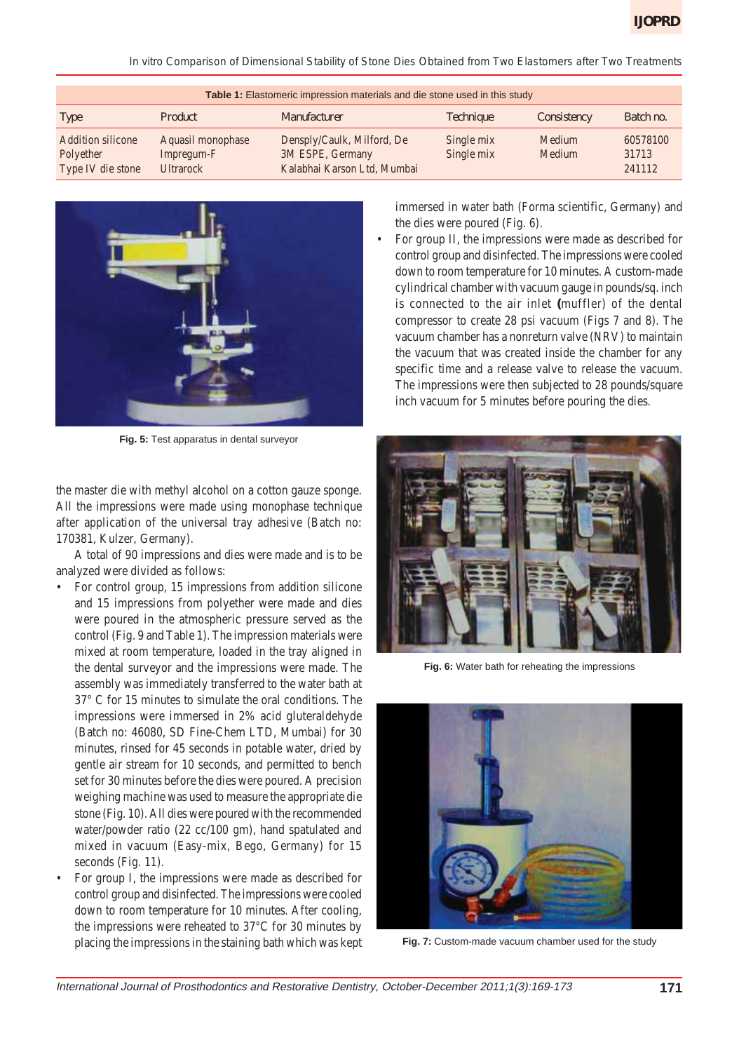*In vitro Comparison of Dimensional Stability of Stone Dies Obtained from Two Elastomers after Two Treatments*

| Table 1: Elastomeric impression materials and die stone used in this study |                                                     |                                                                               |                          |                  |                             |
|----------------------------------------------------------------------------|-----------------------------------------------------|-------------------------------------------------------------------------------|--------------------------|------------------|-----------------------------|
| Type                                                                       | Product                                             | <i>Manufacturer</i>                                                           | <i>Technique</i>         | Consistency      | Batch no.                   |
| Addition silicone<br>Polyether<br>Type IV die stone                        | Aquasil monophase<br>Impregum-F<br><b>Ultrarock</b> | Densply/Caulk, Milford, De<br>3M ESPE, Germany<br>Kalabhai Karson Ltd, Mumbai | Single mix<br>Single mix | Medium<br>Medium | 60578100<br>31713<br>241112 |



**Fig. 5:** Test apparatus in dental surveyor

the master die with methyl alcohol on a cotton gauze sponge. All the impressions were made using monophase technique after application of the universal tray adhesive (Batch no: 170381, Kulzer, Germany).

A total of 90 impressions and dies were made and is to be analyzed were divided as follows:

- For control group, 15 impressions from addition silicone and 15 impressions from polyether were made and dies were poured in the atmospheric pressure served as the control (Fig. 9 and Table 1). The impression materials were mixed at room temperature, loaded in the tray aligned in the dental surveyor and the impressions were made. The assembly was immediately transferred to the water bath at 37° C for 15 minutes to simulate the oral conditions. The impressions were immersed in 2% acid gluteraldehyde (Batch no: 46080, SD Fine-Chem LTD, Mumbai) for 30 minutes, rinsed for 45 seconds in potable water, dried by gentle air stream for 10 seconds, and permitted to bench set for 30 minutes before the dies were poured. A precision weighing machine was used to measure the appropriate die stone (Fig. 10). All dies were poured with the recommended water/powder ratio (22 cc/100 gm), hand spatulated and mixed in vacuum (Easy-mix, Bego, Germany) for 15 seconds (Fig. 11).
- For group I, the impressions were made as described for control group and disinfected. The impressions were cooled down to room temperature for 10 minutes. After cooling, the impressions were reheated to 37°C for 30 minutes by placing the impressions in the staining bath which was kept

immersed in water bath (Forma scientific, Germany) and the dies were poured (Fig. 6).

• For group II, the impressions were made as described for control group and disinfected. The impressions were cooled down to room temperature for 10 minutes. A custom-made cylindrical chamber with vacuum gauge in pounds/sq. inch is connected to the air inlet **(**muffler) of the dental compressor to create 28 psi vacuum (Figs 7 and 8). The vacuum chamber has a nonreturn valve (NRV) to maintain the vacuum that was created inside the chamber for any specific time and a release valve to release the vacuum. The impressions were then subjected to 28 pounds/square inch vacuum for 5 minutes before pouring the dies.



**Fig. 6:** Water bath for reheating the impressions



**Fig. 7:** Custom-made vacuum chamber used for the study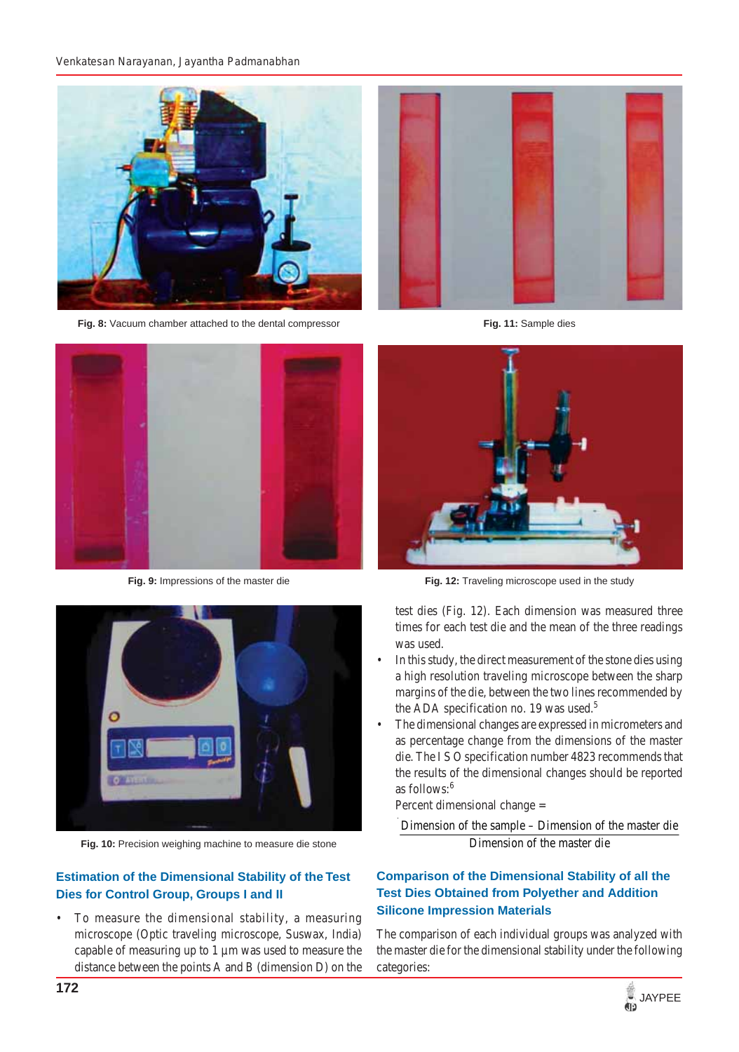

**Fig. 8:** Vacuum chamber attached to the dental compressor



**Fig. 9:** Impressions of the master die



**Fig. 11:** Sample dies



**Fig. 12:** Traveling microscope used in the study



- In this study, the direct measurement of the stone dies using a high resolution traveling microscope between the sharp margins of the die, between the two lines recommended by the ADA specification no. 19 was used.<sup>5</sup>
- The dimensional changes are expressed in micrometers and as percentage change from the dimensions of the master die. The I S O specification number 4823 recommends that the results of the dimensional changes should be reported as follows:<sup>6</sup>

Percent dimensional change =

Dimension of the sample – Dimension of the master die Dimension of the master die

## **Comparison of the Dimensional Stability of all the Test Dies Obtained from Polyether and Addition Silicone Impression Materials**

The comparison of each individual groups was analyzed with the master die for the dimensional stability under the following categories:



**Fig. 10:** Precision weighing machine to measure die stone

## **Estimation of the Dimensional Stability of the Test Dies for Control Group, Groups I and II**

To measure the dimensional stability, a measuring microscope (Optic traveling microscope, Suswax, India) capable of measuring up to 1 µm was used to measure the distance between the points A and B (dimension D) on the